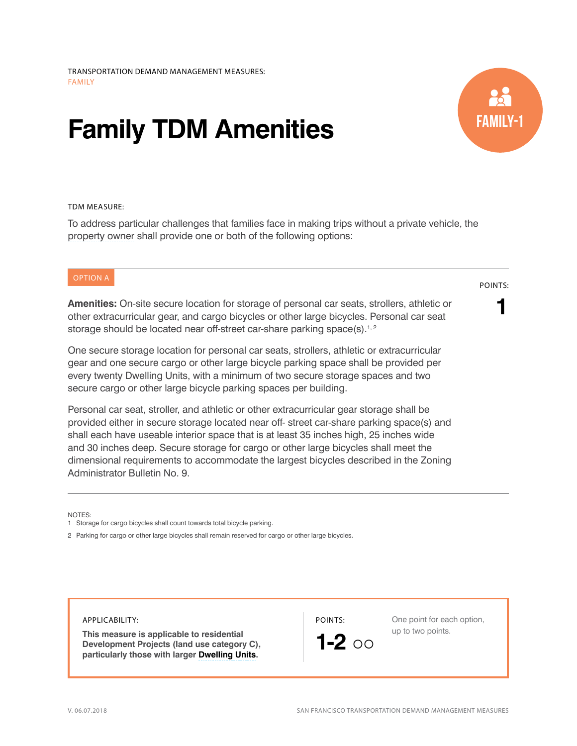# **Family TDM Amenities**



## TDM MEASURE:

To address particular challenges that families face in making trips without a private vehicle, the [property owner](http://library.amlegal.com/nxt/gateway.dll/California/planning/article15off-streetparkingandloading?f=templates$fn=default.htm$3.0$vid=amlegal:sanfrancisco_ca$anc=JD_166) shall provide one or both of the following options:

## OPTION A

**Amenities:** On-site secure location for storage of personal car seats, strollers, athletic or other extracurricular gear, and cargo bicycles or other large bicycles. Personal car seat storage should be located near off-street car-share parking space(s).<sup>1,2</sup>

One secure storage location for personal car seats, strollers, athletic or extracurricular gear and one secure cargo or other large bicycle parking space shall be provided per every twenty Dwelling Units, with a minimum of two secure storage spaces and two secure cargo or other large bicycle parking spaces per building.

Personal car seat, stroller, and athletic or other extracurricular gear storage shall be provided either in secure storage located near off- street car-share parking space(s) and shall each have useable interior space that is at least 35 inches high, 25 inches wide and 30 inches deep. Secure storage for cargo or other large bicycles shall meet the dimensional requirements to accommodate the largest bicycles described in the Zoning Administrator Bulletin No. 9.

NOTES:

APPLICABILITY:

**This measure is applicable to residential Development Projects (land use category C), particularly those with larger [Dwelling Units.](http://library.amlegal.com/nxt/gateway.dll/California/planning/article1generalzoningprovisions?f=templates$fn=default.htm$3.0$vid=amlegal:sanfrancisco_ca$anc=JD_Article1)**

POINTS:



One point for each option, up to two points.

### POINTS:

**1**

<sup>1</sup> Storage for cargo bicycles shall count towards total bicycle parking.

<sup>2</sup> Parking for cargo or other large bicycles shall remain reserved for cargo or other large bicycles.